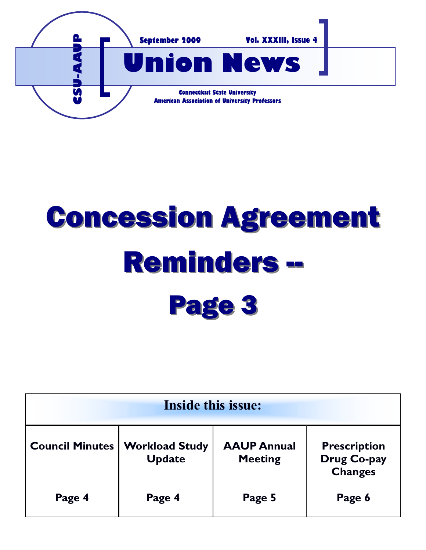

# Concession Agreement Reminders -- Page 3

| <b>Inside this issue:</b> |                                        |                                      |                                               |
|---------------------------|----------------------------------------|--------------------------------------|-----------------------------------------------|
| <b>Council Minutes</b>    | <b>Workload Study</b><br><b>Update</b> | <b>AAUP Annual</b><br><b>Meeting</b> | <b>Prescription</b><br>Drug Co-pay<br>Changes |
| Page 4                    | Page 4                                 | Page 5                               | Page 6                                        |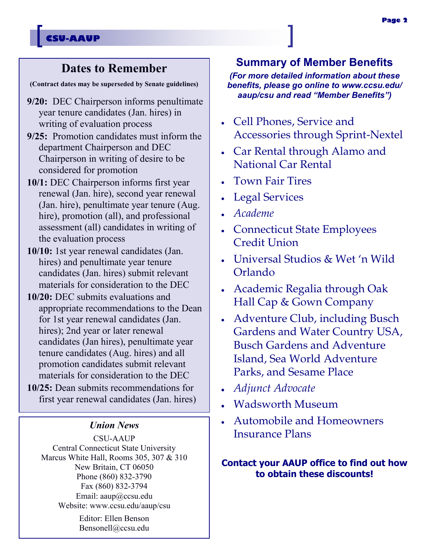## **CSU-AAUP**

## **Dates to Remember**

**(Contract dates may be superseded by Senate guidelines)**

- **9/20:** DEC Chairperson informs penultimate year tenure candidates (Jan. hires) in writing of evaluation process
- **9/25:** Promotion candidates must inform the department Chairperson and DEC Chairperson in writing of desire to be considered for promotion
- **10/1:** DEC Chairperson informs first year renewal (Jan. hire), second year renewal (Jan. hire), penultimate year tenure (Aug. hire), promotion (all), and professional assessment (all) candidates in writing of the evaluation process
- **10/10:** 1st year renewal candidates (Jan. hires) and penultimate year tenure candidates (Jan. hires) submit relevant materials for consideration to the DEC
- **10/20:** DEC submits evaluations and appropriate recommendations to the Dean for 1st year renewal candidates (Jan. hires); 2nd year or later renewal candidates (Jan hires), penultimate year tenure candidates (Aug. hires) and all promotion candidates submit relevant materials for consideration to the DEC
- **10/25:** Dean submits recommendations for first year renewal candidates (Jan. hires)

## *Union News*

CSU-AAUP Central Connecticut State University Marcus White Hall, Rooms 305, 307 & 310 New Britain, CT 06050 Phone (860) 832-3790 Fax (860) 832-3794 Email: aaup@ccsu.edu Website: www.ccsu.edu/aaup/csu

> Editor: Ellen Benson Bensonell@ccsu.edu

## **Summary of Member Benefits**

*(For more detailed information about these benefits, please go online to www.ccsu.edu/ aaup/csu and read "Member Benefits")*

- Cell Phones, Service and Accessories through Sprint-Nextel
- Car Rental through Alamo and National Car Rental
- Town Fair Tires
- Legal Services
- *Academe*
- Connecticut State Employees Credit Union
- Universal Studios & Wet 'n Wild Orlando
- Academic Regalia through Oak Hall Cap & Gown Company
- Adventure Club, including Busch Gardens and Water Country USA, Busch Gardens and Adventure Island, Sea World Adventure Parks, and Sesame Place
- *Adjunct Advocate*
- Wadsworth Museum
- Automobile and Homeowners Insurance Plans

## **Contact your AAUP office to find out how to obtain these discounts!**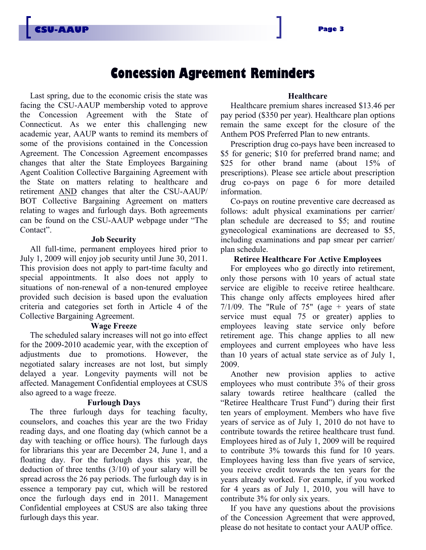## **Concession Agreement Reminders**

Last spring, due to the economic crisis the state was facing the CSU-AAUP membership voted to approve the Concession Agreement with the State of Connecticut. As we enter this challenging new academic year, AAUP wants to remind its members of some of the provisions contained in the Concession Agreement. The Concession Agreement encompasses changes that alter the State Employees Bargaining Agent Coalition Collective Bargaining Agreement with the State on matters relating to healthcare and retirement AND changes that alter the CSU-AAUP/ BOT Collective Bargaining Agreement on matters relating to wages and furlough days. Both agreements can be found on the CSU-AAUP webpage under "The Contact".

#### **Job Security**

All full-time, permanent employees hired prior to July 1, 2009 will enjoy job security until June 30, 2011. This provision does not apply to part-time faculty and special appointments. It also does not apply to situations of non-renewal of a non-tenured employee provided such decision is based upon the evaluation criteria and categories set forth in Article 4 of the Collective Bargaining Agreement.

#### **Wage Freeze**

The scheduled salary increases will not go into effect for the 2009-2010 academic year, with the exception of adjustments due to promotions. However, the negotiated salary increases are not lost, but simply delayed a year. Longevity payments will not be affected. Management Confidential employees at CSUS also agreed to a wage freeze.

#### **Furlough Days**

The three furlough days for teaching faculty, counselors, and coaches this year are the two Friday reading days, and one floating day (which cannot be a day with teaching or office hours). The furlough days for librarians this year are December 24, June 1, and a floating day. For the furlough days this year, the deduction of three tenths (3/10) of your salary will be spread across the 26 pay periods. The furlough day is in essence a temporary pay cut, which will be restored once the furlough days end in 2011. Management Confidential employees at CSUS are also taking three furlough days this year.

## **Healthcare**

Healthcare premium shares increased \$13.46 per pay period (\$350 per year). Healthcare plan options remain the same except for the closure of the Anthem POS Preferred Plan to new entrants.

Prescription drug co-pays have been increased to \$5 for generic; \$10 for preferred brand name; and \$25 for other brand name (about 15% of prescriptions). Please see article about prescription drug co-pays on page 6 for more detailed information.

Co-pays on routine preventive care decreased as follows: adult physical examinations per carrier/ plan schedule are decreased to \$5; and routine gynecological examinations are decreased to \$5, including examinations and pap smear per carrier/ plan schedule.

## **Retiree Healthcare For Active Employees**

For employees who go directly into retirement, only those persons with 10 years of actual state service are eligible to receive retiree healthcare. This change only affects employees hired after  $7/1/09$ . The "Rule of 75" (age + years of state service must equal 75 or greater) applies to employees leaving state service only before retirement age. This change applies to all new employees and current employees who have less than 10 years of actual state service as of July 1, 2009.

Another new provision applies to active employees who must contribute 3% of their gross salary towards retiree healthcare (called the "Retiree Healthcare Trust Fund") during their first ten years of employment. Members who have five years of service as of July 1, 2010 do not have to contribute towards the retiree healthcare trust fund. Employees hired as of July 1, 2009 will be required to contribute 3% towards this fund for 10 years. Employees having less than five years of service, you receive credit towards the ten years for the years already worked. For example, if you worked for 4 years as of July 1, 2010, you will have to contribute 3% for only six years.

If you have any questions about the provisions of the Concession Agreement that were approved, please do not hesitate to contact your AAUP office.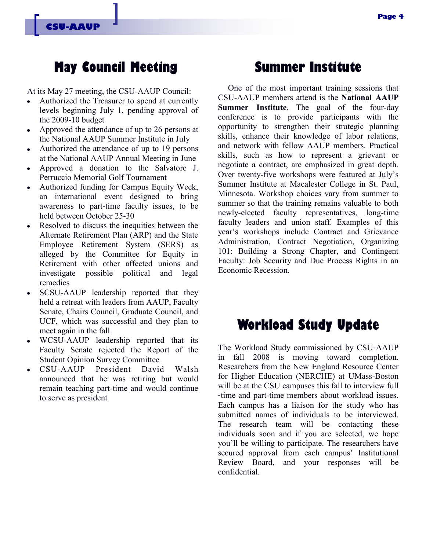## **May Council Meeting**

At its May 27 meeting, the CSU-AAUP Council:

- Authorized the Treasurer to spend at currently  $\bullet$ levels beginning July 1, pending approval of the 2009-10 budget
- Approved the attendance of up to 26 persons at the National AAUP Summer Institute in July
- Authorized the attendance of up to 19 persons  $\bullet$ at the National AAUP Annual Meeting in June
- Approved a donation to the Salvatore J. Perruccio Memorial Golf Tournament
- Authorized funding for Campus Equity Week, an international event designed to bring awareness to part-time faculty issues, to be held between October 25-30
- Resolved to discuss the inequities between the Alternate Retirement Plan (ARP) and the State Employee Retirement System (SERS) as alleged by the Committee for Equity in Retirement with other affected unions and investigate possible political and legal remedies
- SCSU-AAUP leadership reported that they  $\bullet$ held a retreat with leaders from AAUP, Faculty Senate, Chairs Council, Graduate Council, and UCF, which was successful and they plan to meet again in the fall
- WCSU-AAUP leadership reported that its Faculty Senate rejected the Report of the Student Opinion Survey Committee
- CSU-AAUP President David Walsh  $\bullet$ announced that he was retiring but would remain teaching part-time and would continue to serve as president

# **Summer Institute**

One of the most important training sessions that CSU-AAUP members attend is the **National AAUP Summer Institute**. The goal of the four-day conference is to provide participants with the opportunity to strengthen their strategic planning skills, enhance their knowledge of labor relations, and network with fellow AAUP members. Practical skills, such as how to represent a grievant or negotiate a contract, are emphasized in great depth. Over twenty-five workshops were featured at July's Summer Institute at Macalester College in St. Paul, Minnesota. Workshop choices vary from summer to summer so that the training remains valuable to both newly-elected faculty representatives, long-time faculty leaders and union staff. Examples of this year's workshops include Contract and Grievance Administration, Contract Negotiation, Organizing 101: Building a Strong Chapter, and Contingent Faculty: Job Security and Due Process Rights in an Economic Recession.

# **Workload Study Update**

The Workload Study commissioned by CSU‐AAUP in fall 2008 is moving toward completion. Researchers from the New England Resource Center for Higher Education (NERCHE) at UMass-Boston will be at the CSU campuses this fall to interview full ‐time and part-time members about workload issues. Each campus has a liaison for the study who has submitted names of individuals to be interviewed. The research team will be contacting these individuals soon and if you are selected, we hope you'll be willing to participate. The researchers have secured approval from each campus' Institutional Review Board, and your responses will be confidential.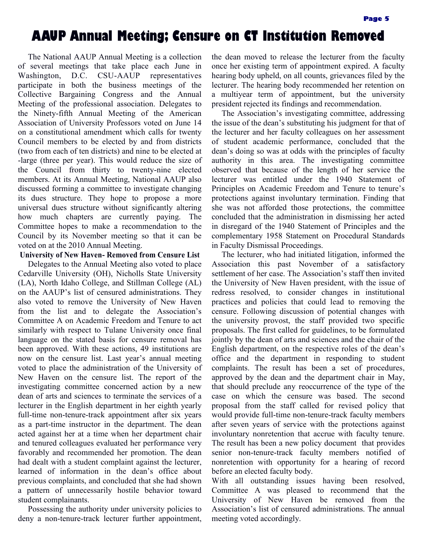# **AAUP Annual Meeting; Censure on CT Institution Removed**

The National AAUP Annual Meeting is a collection of several meetings that take place each June in Washington, D.C. CSU-AAUP representatives participate in both the business meetings of the Collective Bargaining Congress and the Annual Meeting of the professional association. Delegates to the Ninety-fifth Annual Meeting of the American Association of University Professors voted on June 14 on a constitutional amendment which calls for twenty Council members to be elected by and from districts (two from each of ten districts) and nine to be elected at -large (three per year). This would reduce the size of the Council from thirty to twenty-nine elected members. At its Annual Meeting, National AAUP also discussed forming a committee to investigate changing its dues structure. They hope to propose a more universal dues structure without significantly altering how much chapters are currently paying. The Committee hopes to make a recommendation to the Council by its November meeting so that it can be voted on at the 2010 Annual Meeting.

## **University of New Haven- Removed from Censure List**

Delegates to the Annual Meeting also voted to place Cedarville University (OH), Nicholls State University (LA), North Idaho College, and Stillman College (AL) on the AAUP's list of censured administrations. They also voted to remove the University of New Haven from the list and to delegate the Association's Committee A on Academic Freedom and Tenure to act similarly with respect to Tulane University once final language on the stated basis for censure removal has been approved. With these actions, 49 institutions are now on the censure list. Last year's annual meeting voted to place the administration of the University of New Haven on the censure list. The report of the investigating committee concerned action by a new dean of arts and sciences to terminate the services of a lecturer in the English department in her eighth yearly full-time non-tenure-track appointment after six years as a part-time instructor in the department. The dean acted against her at a time when her department chair and tenured colleagues evaluated her performance very favorably and recommended her promotion. The dean had dealt with a student complaint against the lecturer, learned of information in the dean's office about previous complaints, and concluded that she had shown a pattern of unnecessarily hostile behavior toward student complainants.

Possessing the authority under university policies to deny a non-tenure-track lecturer further appointment,

the dean moved to release the lecturer from the faculty once her existing term of appointment expired. A faculty hearing body upheld, on all counts, grievances filed by the lecturer. The hearing body recommended her retention on a multiyear term of appointment, but the university president rejected its findings and recommendation.

The Association's investigating committee, addressing the issue of the dean's substituting his judgment for that of the lecturer and her faculty colleagues on her assessment of student academic performance, concluded that the dean's doing so was at odds with the principles of faculty authority in this area. The investigating committee observed that because of the length of her service the lecturer was entitled under the 1940 Statement of Principles on Academic Freedom and Tenure to tenure's protections against involuntary termination. Finding that she was not afforded those protections, the committee concluded that the administration in dismissing her acted in disregard of the 1940 Statement of Principles and the complementary 1958 Statement on Procedural Standards in Faculty Dismissal Proceedings.

The lecturer, who had initiated litigation, informed the Association this past November of a satisfactory settlement of her case. The Association's staff then invited the University of New Haven president, with the issue of redress resolved, to consider changes in institutional practices and policies that could lead to removing the censure. Following discussion of potential changes with the university provost, the staff provided two specific proposals. The first called for guidelines, to be formulated jointly by the dean of arts and sciences and the chair of the English department, on the respective roles of the dean's office and the department in responding to student complaints. The result has been a set of procedures, approved by the dean and the department chair in May, that should preclude any reoccurrence of the type of the case on which the censure was based. The second proposal from the staff called for revised policy that would provide full-time non-tenure-track faculty members after seven years of service with the protections against involuntary nonretention that accrue with faculty tenure. The result has been a new policy document that provides senior non-tenure-track faculty members notified of nonretention with opportunity for a hearing of record before an elected faculty body.

With all outstanding issues having been resolved, Committee A was pleased to recommend that the University of New Haven be removed from the Association's list of censured administrations. The annual meeting voted accordingly.